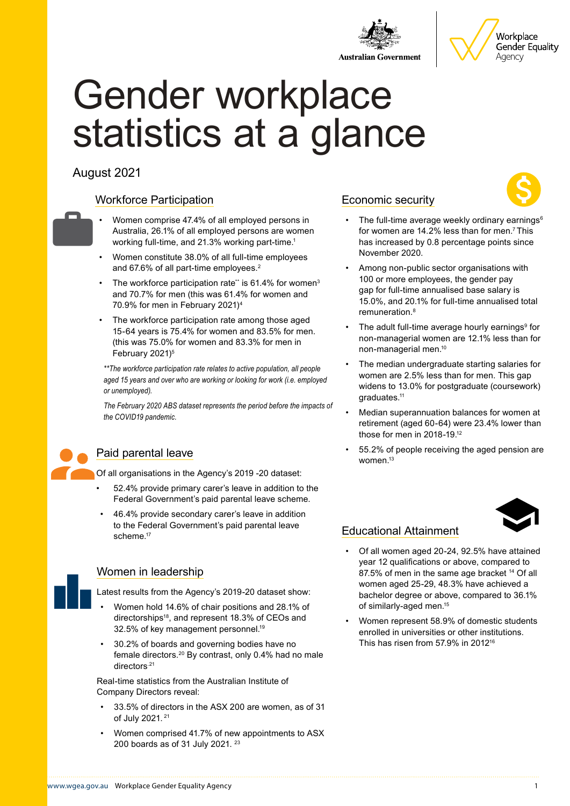



# Gender workplace statistics at a glance

### August 2021

### Workforce Participation

- Women comprise 47.4% of all employed persons in Australia, 26.1% of all employed persons are women working full-time, and 21.3% working part-time.<sup>1</sup>
- Women constitute 38.0% of all full-time employees and 67.6% of all part-time employees.<sup>2</sup>
- The workforce participation rate\*\* is  $61.4\%$  for women<sup>3</sup> and 70.7% for men (this was 61.4% for women and 70.9% for men in February 2021)4
- The workforce participation rate among those aged 15-64 years is 75.4% for women and 83.5% for men. (this was 75.0% for women and 83.3% for men in February 2021)<sup>5</sup>

*\*\*The workforce participation rate relates to active population, all people aged 15 years and over who are working or looking for work (i.e. employed or unemployed).* 

*The February 2020 ABS dataset represents the period before the impacts of the COVID19 pandemic.*



#### Paid parental leave

Of all organisations in the Agency's 2019 -20 dataset:

- 52.4% provide primary carer's leave in addition to the Federal Government's paid parental leave scheme.
- 46.4% provide secondary carer's leave in addition to the Federal Government's paid parental leave scheme.17

### Women in leadership

- Latest results from the Agency's 2019-20 dataset show: • Women hold 14.6% of chair positions and 28.1% of
	- directorships18, and represent 18.3% of CEOs and 32.5% of key management personnel.<sup>19</sup>
- 30.2% of boards and governing bodies have no female directors.20 By contrast, only 0.4% had no male directors.<sup>21</sup>

Real-time statistics from the Australian Institute of Company Directors reveal:

- 33.5% of directors in the ASX 200 are women, as of 31 of July 2021. 21
- Women comprised 41.7% of new appointments to ASX 200 boards as of 31 July 2021. 23

### Economic security



- The full-time average weekly ordinary earnings $6$ for women are 14.2% less than for men.<sup>7</sup> This has increased by 0.8 percentage points since November 2020.
- Among non-public sector organisations with 100 or more employees, the gender pay gap for full-time annualised base salary is 15.0%, and 20.1% for full-time annualised total remuneration.8
- The adult full-time average hourly earnings<sup>9</sup> for non-managerial women are 12.1% less than for non-managerial men.10
- The median undergraduate starting salaries for women are 2.5% less than for men. This gap widens to 13.0% for postgraduate (coursework) graduates.11
- Median superannuation balances for women at retirement (aged 60-64) were 23.4% lower than those for men in 2018-19.12
- 55.2% of people receiving the aged pension are women.13



### Educational Attainment

- Of all women aged 20-24, 92.5% have attained year 12 qualifications or above, compared to 87.5% of men in the same age bracket <sup>14</sup> Of all women aged 25-29, 48.3% have achieved a bachelor degree or above, compared to 36.1% of similarly-aged men.15
- Women represent 58.9% of domestic students enrolled in universities or other institutions. This has risen from 57.9% in 201216